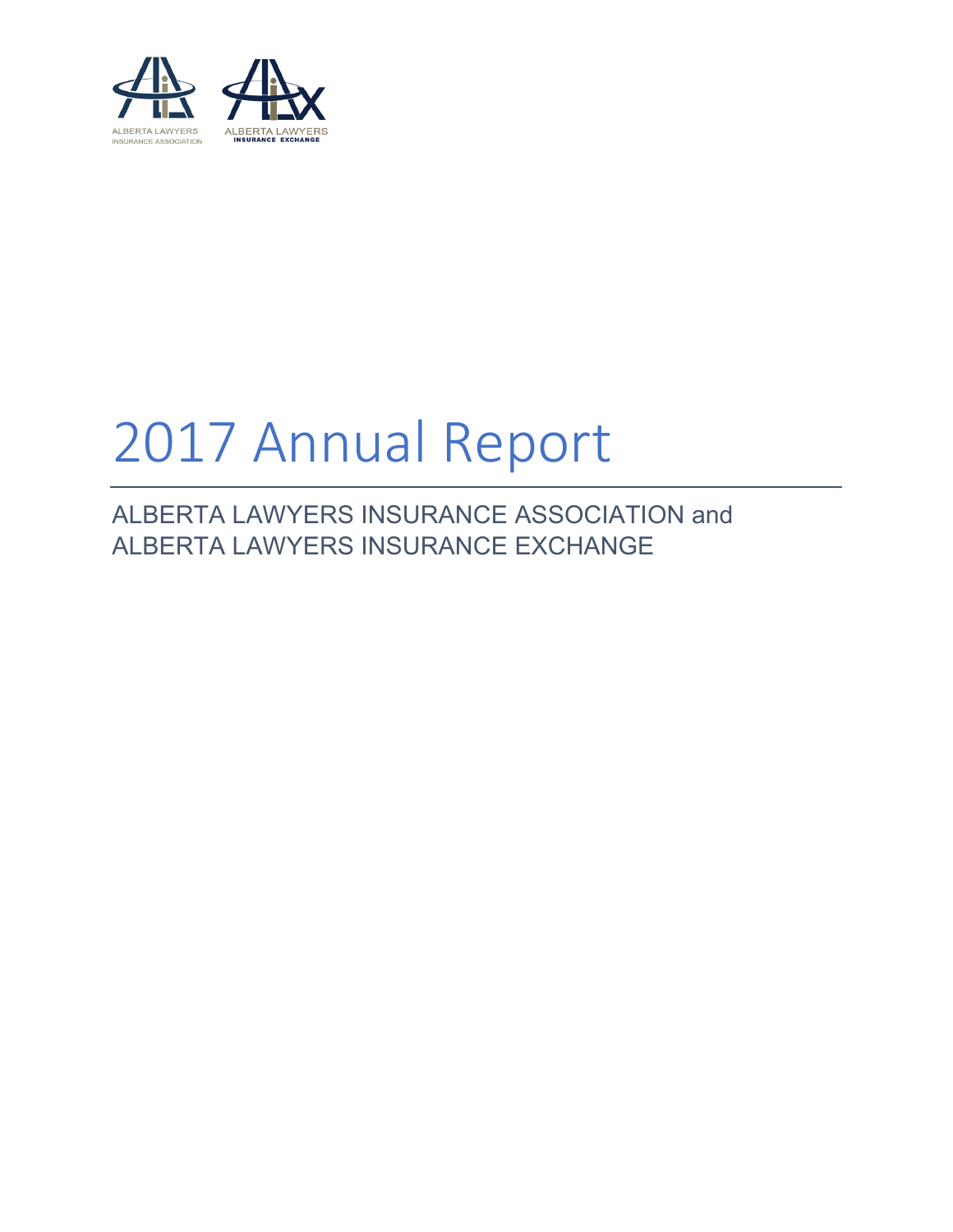

# 2017 Annual Report

ALBERTA LAWYERS INSURANCE ASSOCIATION and ALBERTA LAWYERS INSURANCE EXCHANGE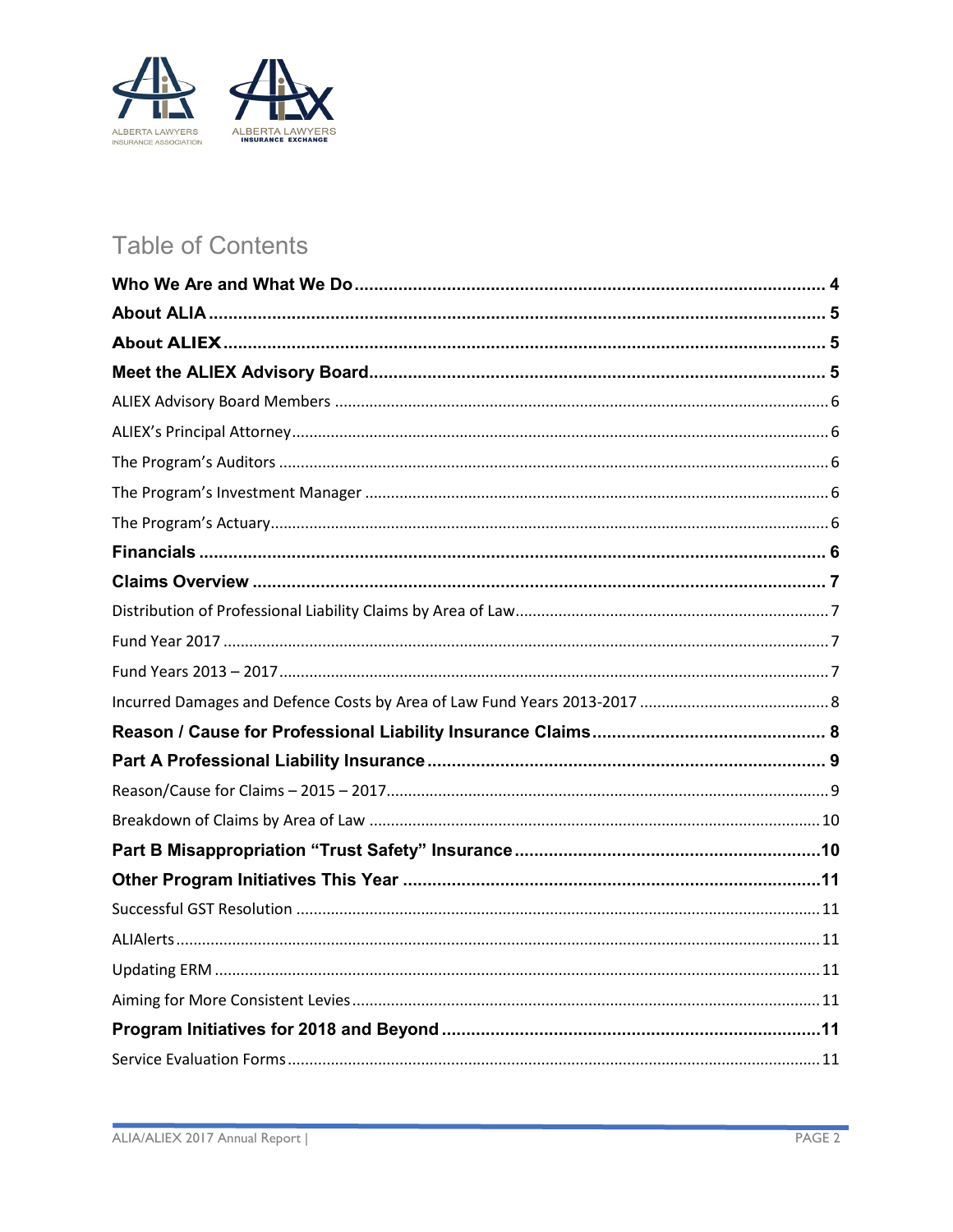

## **Table of Contents**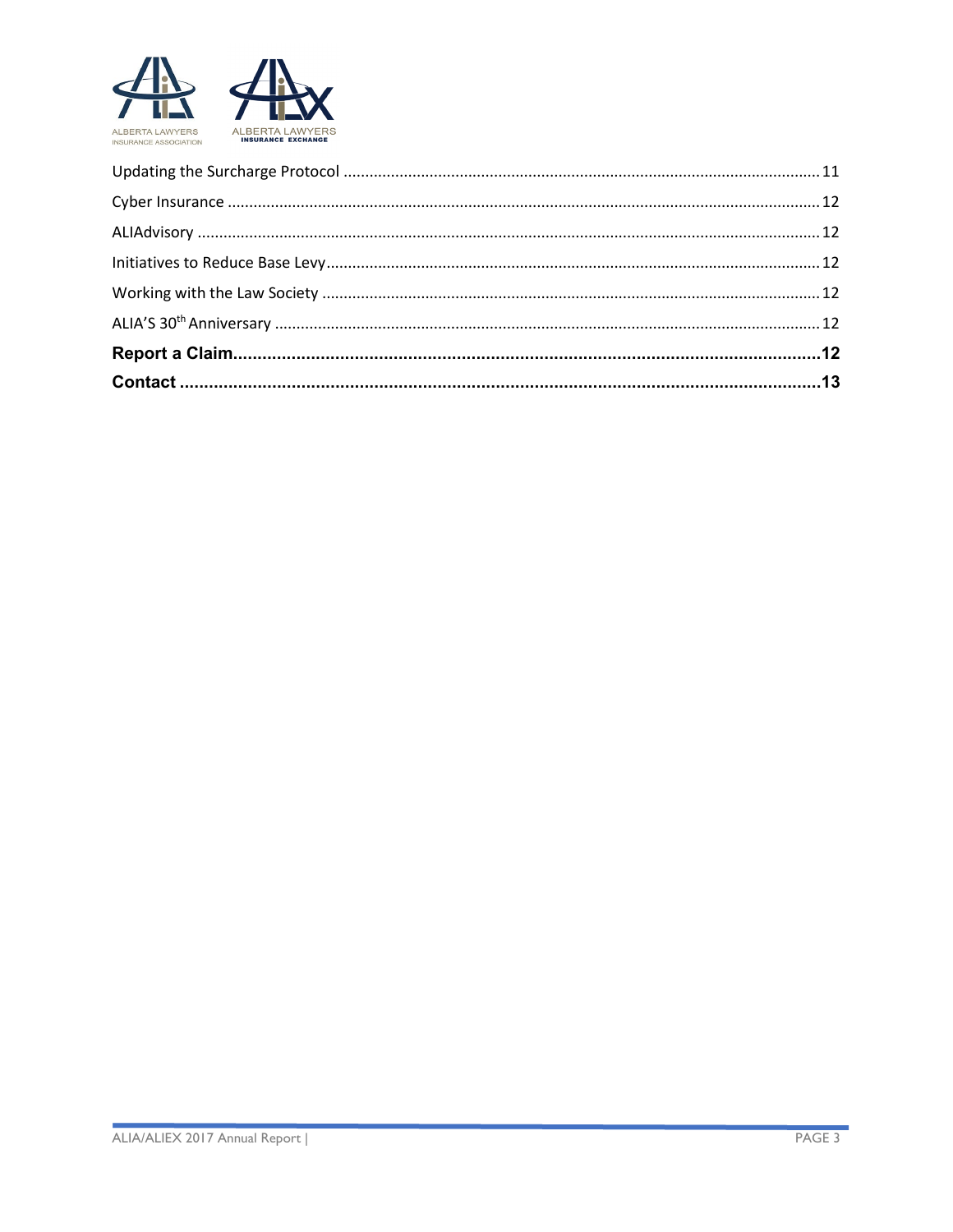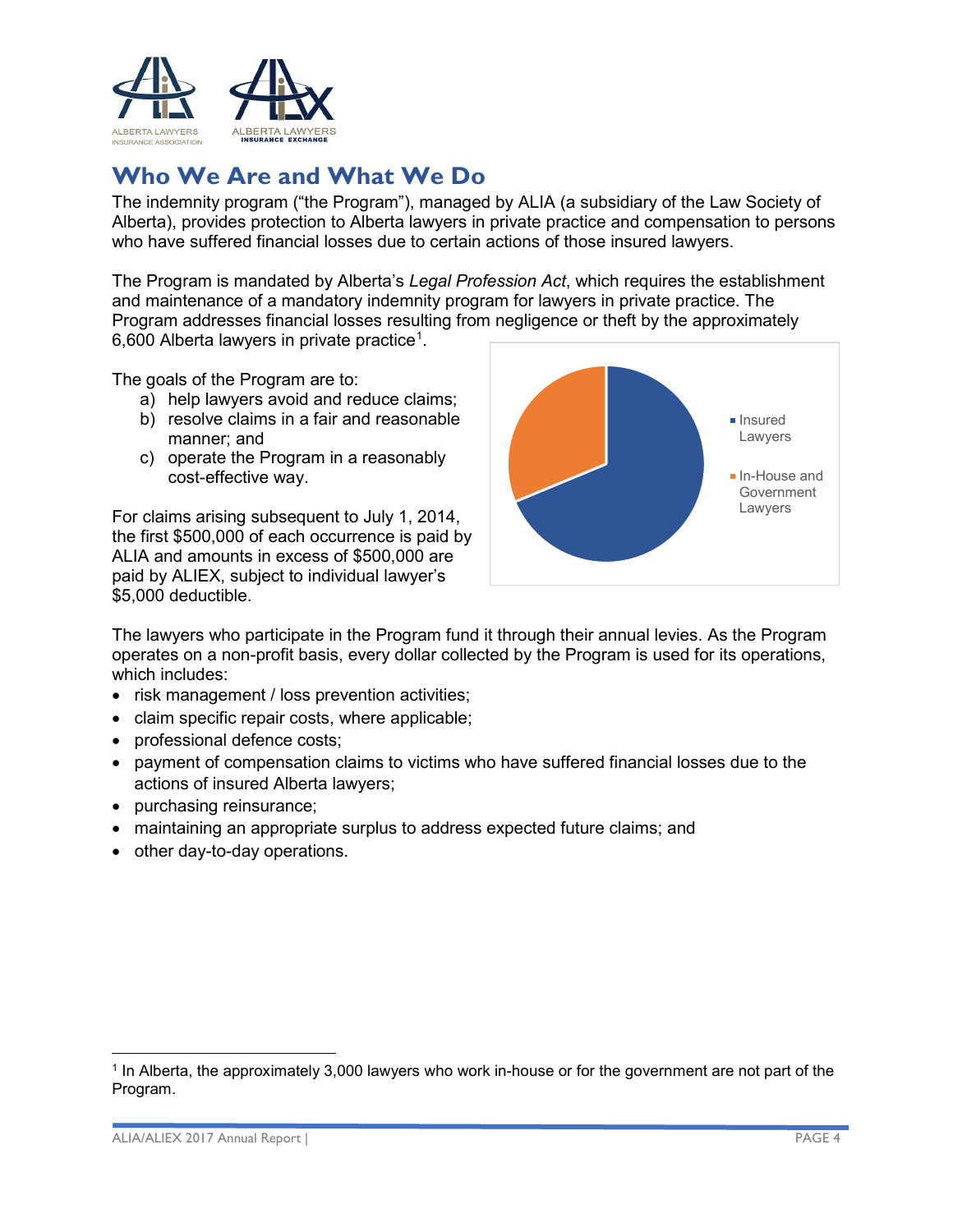

## <span id="page-3-0"></span>**Who We Are and What We Do**

The indemnity program ("the Program"), managed by ALIA (a subsidiary of the Law Society of Alberta), provides protection to Alberta lawyers in private practice and compensation to persons who have suffered financial losses due to certain actions of those insured lawyers.

The Program is mandated by Alberta's *Legal Profession Act*, which requires the establishment and maintenance of a mandatory indemnity program for lawyers in private practice. The Program addresses financial losses resulting from negligence or theft by the approximately 6,600 Alberta lawyers in private practice $^{\rm 1}.$  $^{\rm 1}.$  $^{\rm 1}.$ 

The goals of the Program are to:

- a) help lawyers avoid and reduce claims;
- b) resolve claims in a fair and reasonable manner; and
- c) operate the Program in a reasonably cost-effective way.

For claims arising subsequent to July 1, 2014, the first \$500,000 of each occurrence is paid by ALIA and amounts in excess of \$500,000 are paid by ALIEX, subject to individual lawyer's \$5,000 deductible.



The lawyers who participate in the Program fund it through their annual levies. As the Program operates on a non-profit basis, every dollar collected by the Program is used for its operations, which includes:

- risk management / loss prevention activities;
- claim specific repair costs, where applicable;
- professional defence costs;
- payment of compensation claims to victims who have suffered financial losses due to the actions of insured Alberta lawyers;
- purchasing reinsurance;
- maintaining an appropriate surplus to address expected future claims; and
- other day-to-day operations.

 $\overline{\phantom{a}}$ 

<span id="page-3-1"></span><sup>&</sup>lt;sup>1</sup> In Alberta, the approximately 3,000 lawyers who work in-house or for the government are not part of the Program.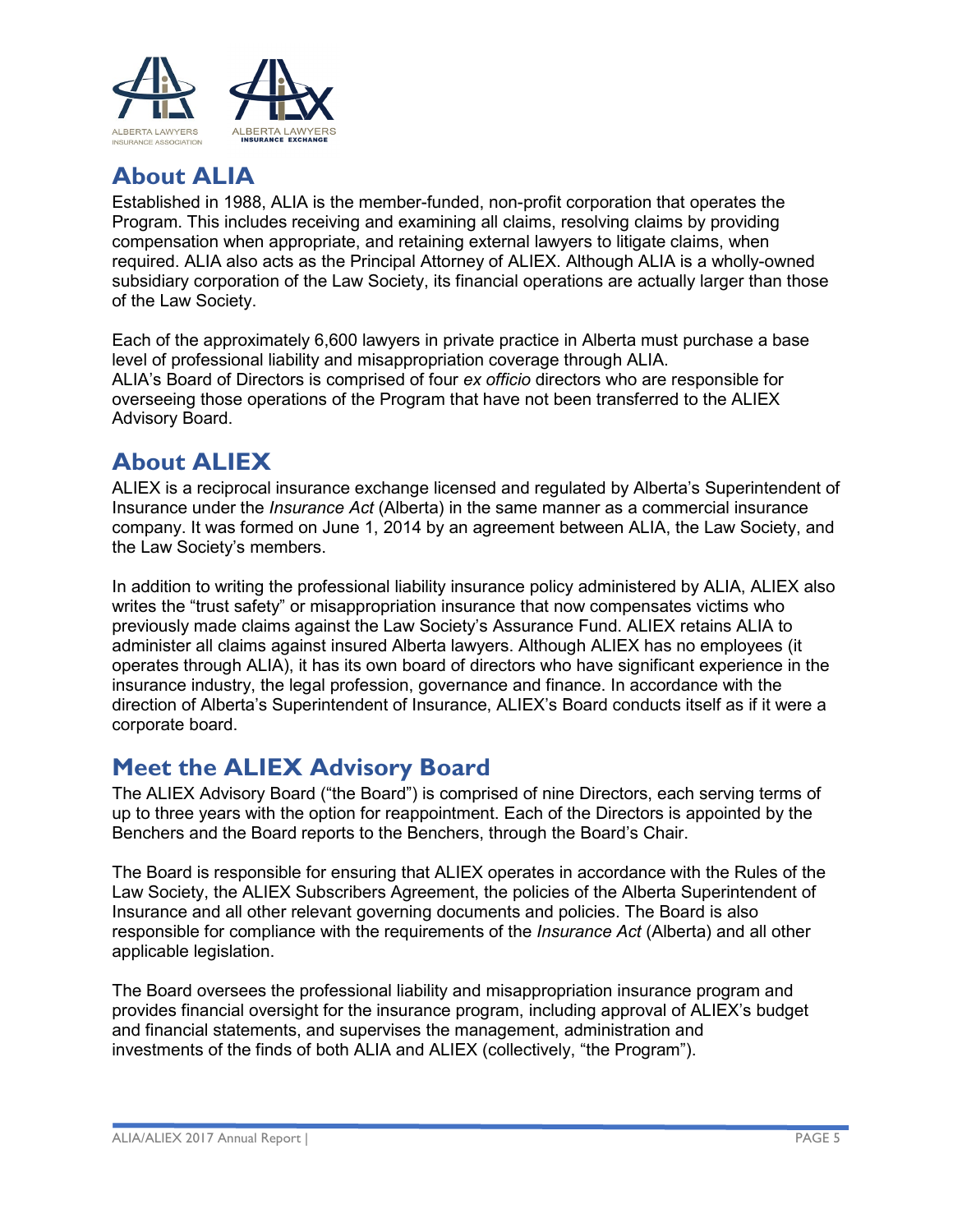

## <span id="page-4-0"></span>**About ALIA**

Established in 1988, ALIA is the member-funded, non-profit corporation that operates the Program. This includes receiving and examining all claims, resolving claims by providing compensation when appropriate, and retaining external lawyers to litigate claims, when required. ALIA also acts as the Principal Attorney of ALIEX. Although ALIA is a wholly-owned subsidiary corporation of the Law Society, its financial operations are actually larger than those of the Law Society.

Each of the approximately 6,600 lawyers in private practice in Alberta must purchase a base level of professional liability and misappropriation coverage through ALIA. ALIA's Board of Directors is comprised of four *ex officio* directors who are responsible for overseeing those operations of the Program that have not been transferred to the ALIEX Advisory Board.

## <span id="page-4-1"></span>**About ALIEX**

ALIEX is a reciprocal insurance exchange licensed and regulated by Alberta's Superintendent of Insurance under the *Insurance Act* (Alberta) in the same manner as a commercial insurance company. It was formed on June 1, 2014 by an agreement between ALIA, the Law Society, and the Law Society's members.

In addition to writing the professional liability insurance policy administered by ALIA, ALIEX also writes the "trust safety" or misappropriation insurance that now compensates victims who previously made claims against the Law Society's Assurance Fund. ALIEX retains ALIA to administer all claims against insured Alberta lawyers. Although ALIEX has no employees (it operates through ALIA), it has its own board of directors who have significant experience in the insurance industry, the legal profession, governance and finance. In accordance with the direction of Alberta's Superintendent of Insurance, ALIEX's Board conducts itself as if it were a corporate board.

## <span id="page-4-2"></span>**Meet the [ALIEX Advisory Board](https://www.lawsociety.ab.ca/lawyers-and-students/alberta-lawyers-insurance-association/aliex-advisory-board/)**

The ALIEX Advisory Board ("the Board") is comprised of nine Directors, each serving terms of up to three years with the option for reappointment. Each of the Directors is appointed by the Benchers and the Board reports to the Benchers, through the Board's Chair.

The Board is responsible for ensuring that ALIEX operates in accordance with the Rules of the Law Society, the ALIEX Subscribers Agreement, the policies of the Alberta Superintendent of Insurance and all other relevant governing documents and policies. The Board is also responsible for compliance with the requirements of the *Insurance Act* (Alberta) and all other applicable legislation.

The Board oversees the professional liability and misappropriation insurance program and provides financial oversight for the insurance program, including approval of ALIEX's budget and financial statements, and supervises the management, administration and investments of the finds of both ALIA and ALIEX (collectively, "the Program").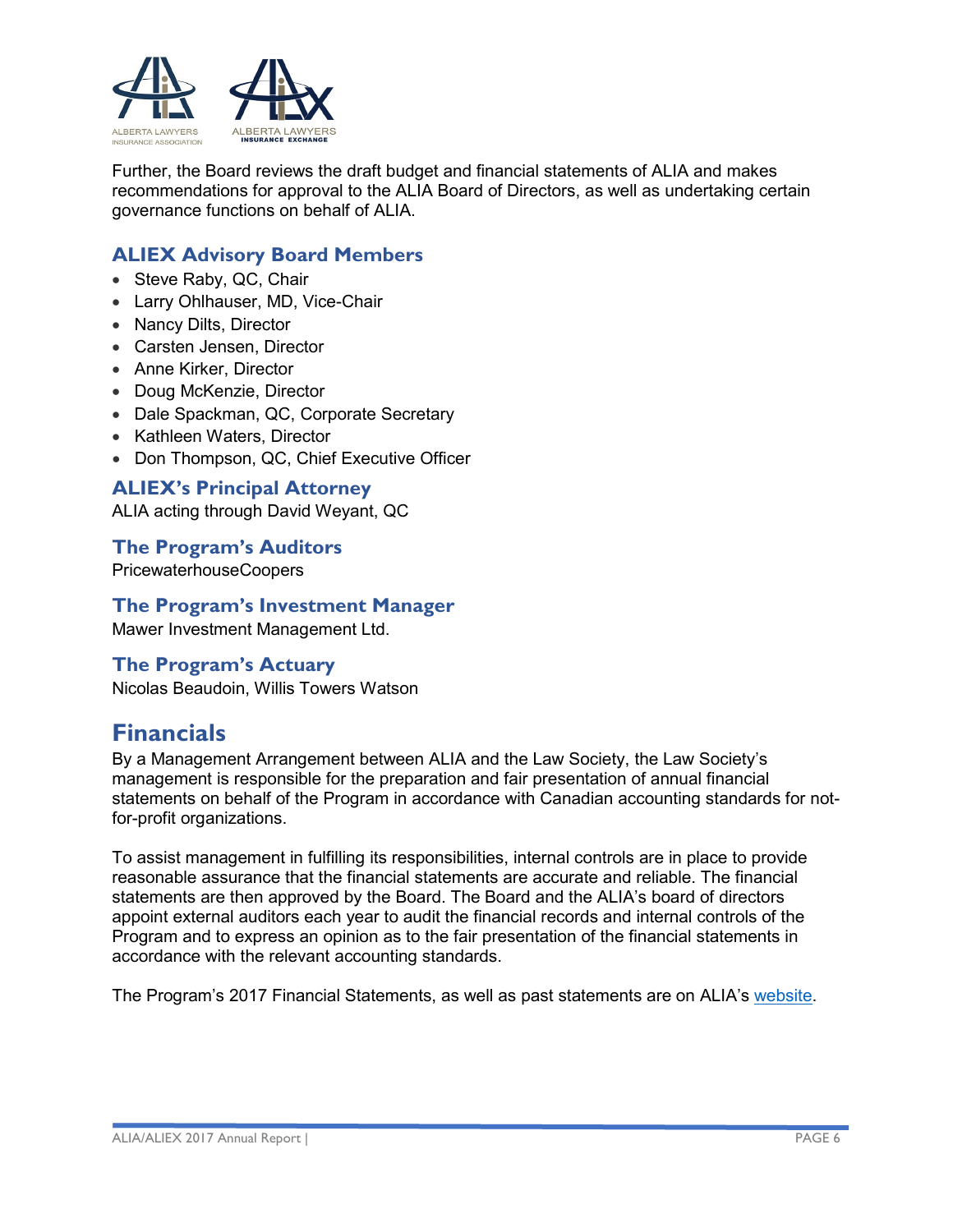

Further, the Board reviews the draft budget and financial statements of ALIA and makes recommendations for approval to the ALIA Board of Directors, as well as undertaking certain governance functions on behalf of ALIA.

#### <span id="page-5-0"></span>**ALIEX Advisory Board Members**

- Steve Raby, QC, Chair
- Larry Ohlhauser, MD, Vice-Chair
- Nancy Dilts, Director
- Carsten Jensen, Director
- Anne Kirker, Director
- Doug McKenzie, Director
- Dale Spackman, QC, Corporate Secretary
- Kathleen Waters, Director
- Don Thompson, QC, Chief Executive Officer

<span id="page-5-1"></span>**ALIEX's Principal Attorney**

ALIA acting through David Weyant, QC

<span id="page-5-2"></span>**The Program's Auditors**  PricewaterhouseCoopers

<span id="page-5-3"></span>**The Program's Investment Manager**

Mawer Investment Management Ltd.

#### <span id="page-5-4"></span>**The Program's Actuary**

Nicolas Beaudoin, Willis Towers Watson

## <span id="page-5-5"></span>**Financials**

By a Management Arrangement between ALIA and the Law Society, the Law Society's management is responsible for the preparation and fair presentation of annual financial statements on behalf of the Program in accordance with Canadian accounting standards for notfor-profit organizations.

To assist management in fulfilling its responsibilities, internal controls are in place to provide reasonable assurance that the financial statements are accurate and reliable. The financial statements are then approved by the Board. The Board and the ALIA's board of directors appoint external auditors each year to audit the financial records and internal controls of the Program and to express an opinion as to the fair presentation of the financial statements in accordance with the relevant accounting standards.

The Program's 2017 Financial Statements, as well as past statements are on ALIA's [website.](https://www.lawsociety.ab.ca/lawyers-and-students/alberta-lawyers-insurance-association/financial-reports/)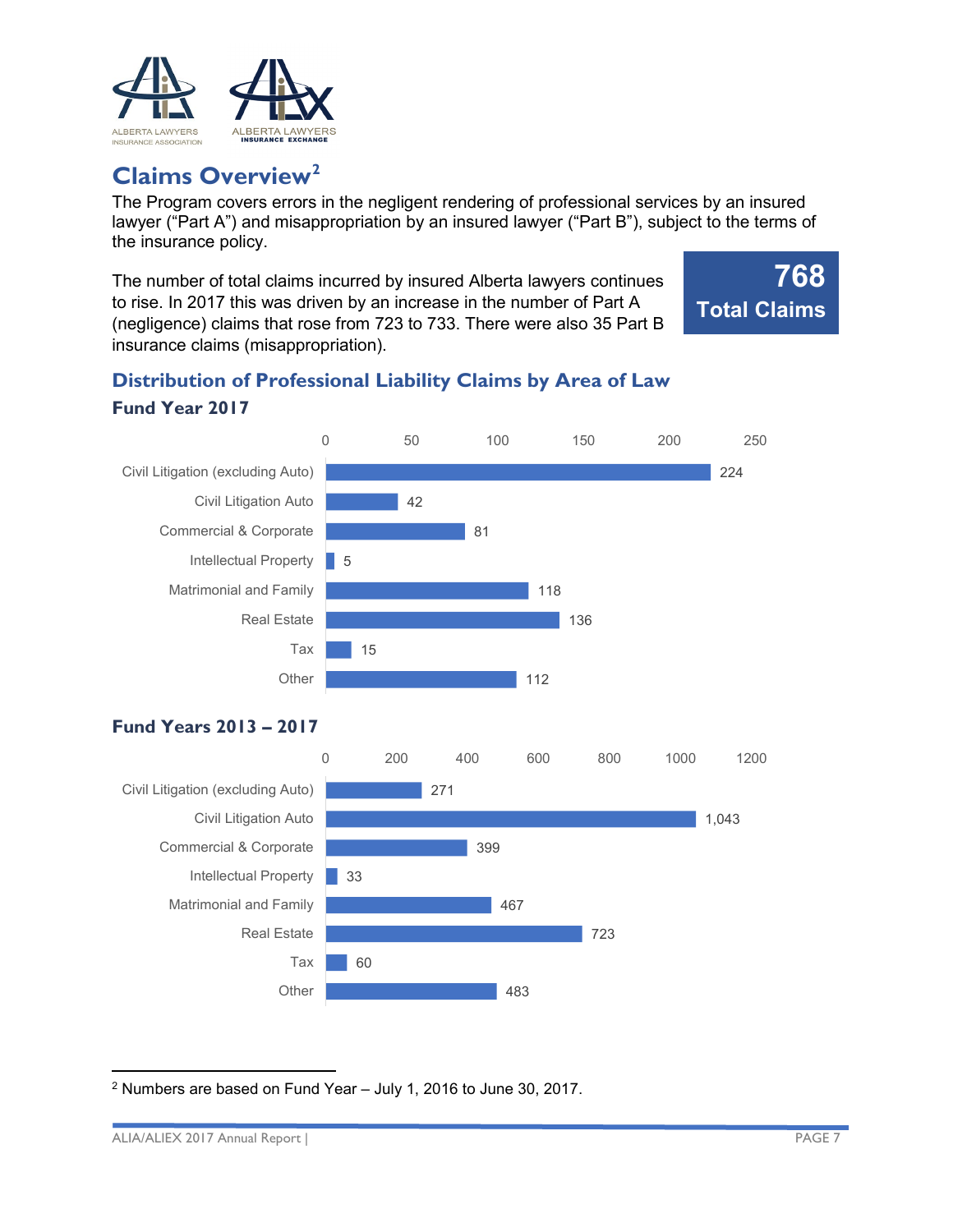

## <span id="page-6-0"></span>**Claims Overview[2](#page-6-4)**

The Program covers errors in the negligent rendering of professional services by an insured lawyer ("Part A") and misappropriation by an insured lawyer ("Part B"), subject to the terms of the insurance policy.

The number of total claims incurred by insured Alberta lawyers continues to rise. In 2017 this was driven by an increase in the number of Part A (negligence) claims that rose from 723 to 733. There were also 35 Part B insurance claims (misappropriation).



## <span id="page-6-2"></span><span id="page-6-1"></span>**Distribution of Professional Liability Claims by Area of Law Fund Year 2017**



## <span id="page-6-3"></span>**Fund Years 2013 – 2017**



<span id="page-6-4"></span>l <sup>2</sup> Numbers are based on Fund Year – July 1, 2016 to June 30, 2017.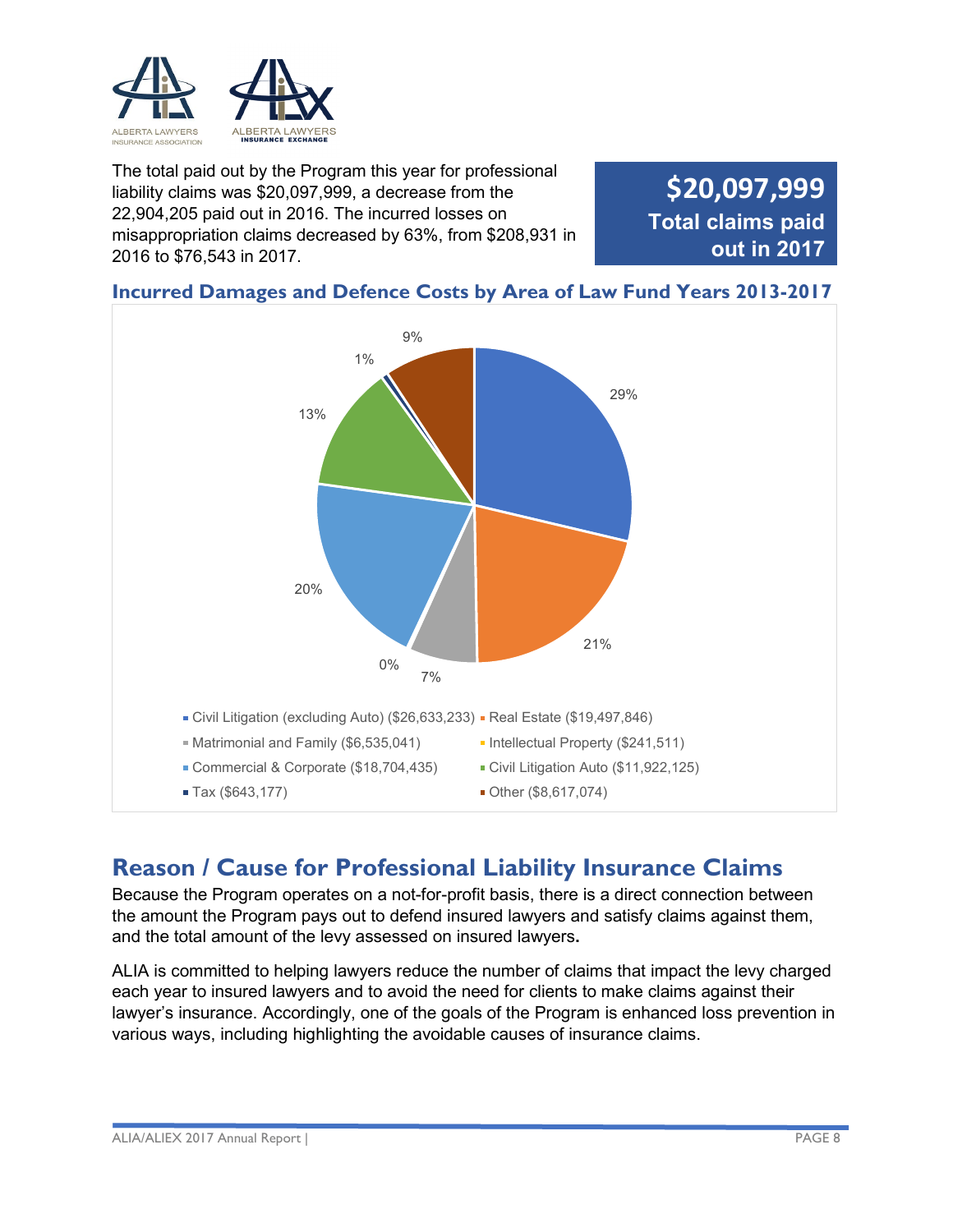

The total paid out by the Program this year for professional liability claims was \$20,097,999, a decrease from the 22,904,205 paid out in 2016. The incurred losses on misappropriation claims decreased by 63%, from \$208,931 in 2016 to \$76,543 in 2017.

**\$20,097,999 Total claims paid out in 2017**

#### <span id="page-7-0"></span>**Incurred Damages and Defence Costs by Area of Law Fund Years 2013-2017**



## <span id="page-7-1"></span>**Reason / Cause for Professional Liability Insurance Claims**

Because the Program operates on a not-for-profit basis, there is a direct connection between the amount the Program pays out to defend insured lawyers and satisfy claims against them, and the total amount of the levy assessed on insured lawyers**.**

ALIA is committed to helping lawyers reduce the number of claims that impact the levy charged each year to insured lawyers and to avoid the need for clients to make claims against their lawyer's insurance. Accordingly, one of the goals of the Program is enhanced loss prevention in various ways, including highlighting the avoidable causes of insurance claims.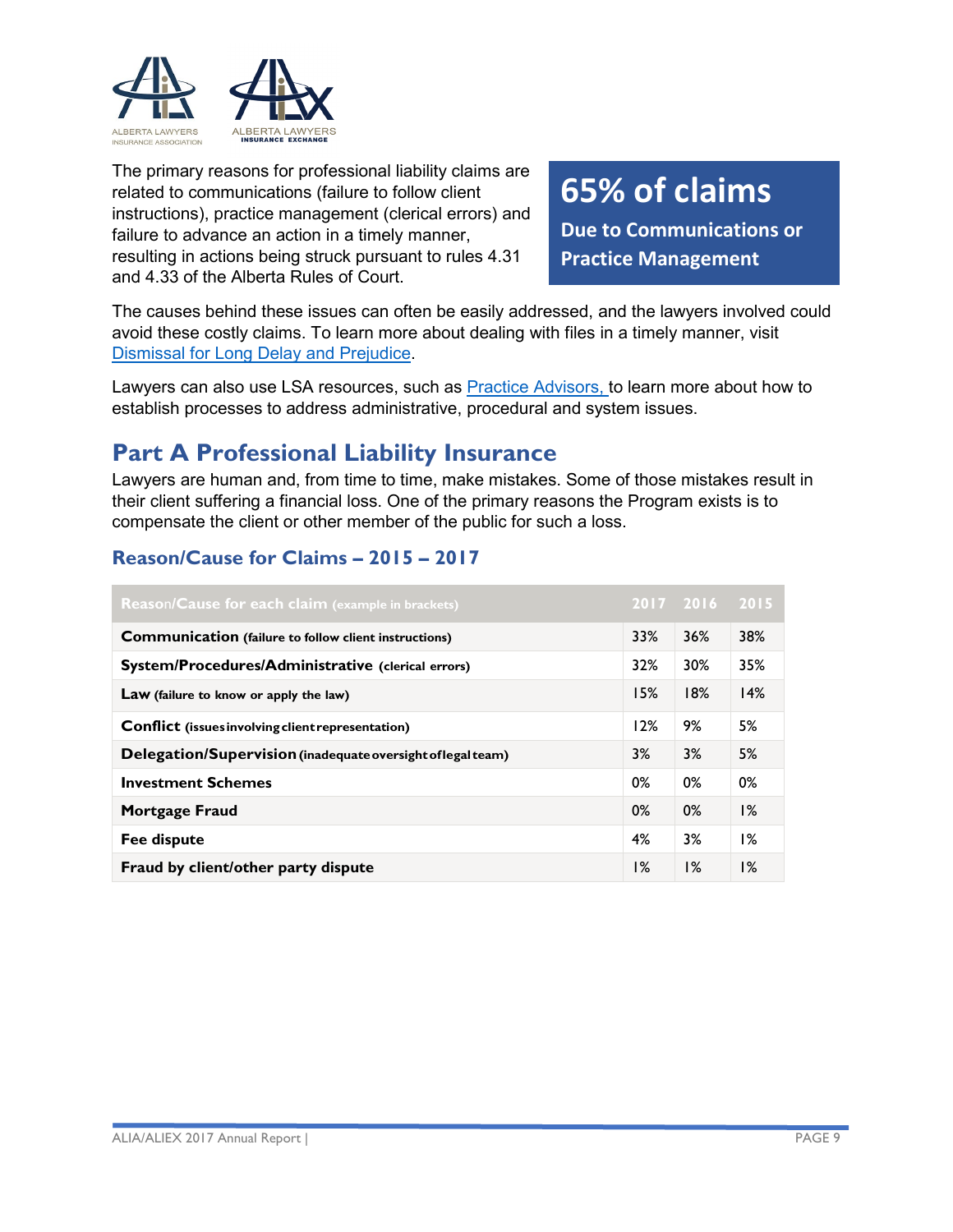

The primary reasons for professional liability claims are related to communications (failure to follow client instructions), practice management (clerical errors) and failure to advance an action in a timely manner, resulting in actions being struck pursuant to rules 4.31 and 4.33 of the Alberta Rules of Court.

## **65% of claims**

**Due to Communications or Practice Management**

The causes behind these issues can often be easily addressed, and the lawyers involved could avoid these costly claims. To learn more about dealing with files in a timely manner, visit [Dismissal for Long Delay and Prejudice.](https://www.lawsociety.ab.ca/resource-centre/key-resources/insurance-resources-aliadvisories/dismissal-for-long-delay-and-prejudice/)

Lawyers can also use LSA resources, such as [Practice Advisors,](https://www.lawsociety.ab.ca/lawyers-and-students/practice-advisors/) to learn more about how to establish processes to address administrative, procedural and system issues.

## <span id="page-8-0"></span>**Part A Professional Liability Insurance**

Lawyers are human and, from time to time, make mistakes. Some of those mistakes result in their client suffering a financial loss. One of the primary reasons the Program exists is to compensate the client or other member of the public for such a loss.

#### <span id="page-8-1"></span>**Reason/Cause for Claims – 2015 – 2017**

| <b>Reason/Cause for each claim</b> (example in brackets)     |     | 2017 2016 2015 |     |
|--------------------------------------------------------------|-----|----------------|-----|
| <b>Communication</b> (failure to follow client instructions) | 33% | 36%            | 38% |
| System/Procedures/Administrative (clerical errors)           | 32% | 30%            | 35% |
| Law (failure to know or apply the law)                       | 15% | 18%            | 14% |
| <b>Conflict</b> (issues involving client representation)     | 12% | 9%             | 5%  |
| Delegation/Supervision (inadequate oversight of legal team)  | 3%  | 3%             | 5%  |
| <b>Investment Schemes</b>                                    | 0%  | 0%             | 0%  |
| <b>Mortgage Fraud</b>                                        | 0%  | 0%             | 1%  |
| Fee dispute                                                  | 4%  | 3%             | 1%  |
| Fraud by client/other party dispute                          | 1%  | $1\%$          | 1%  |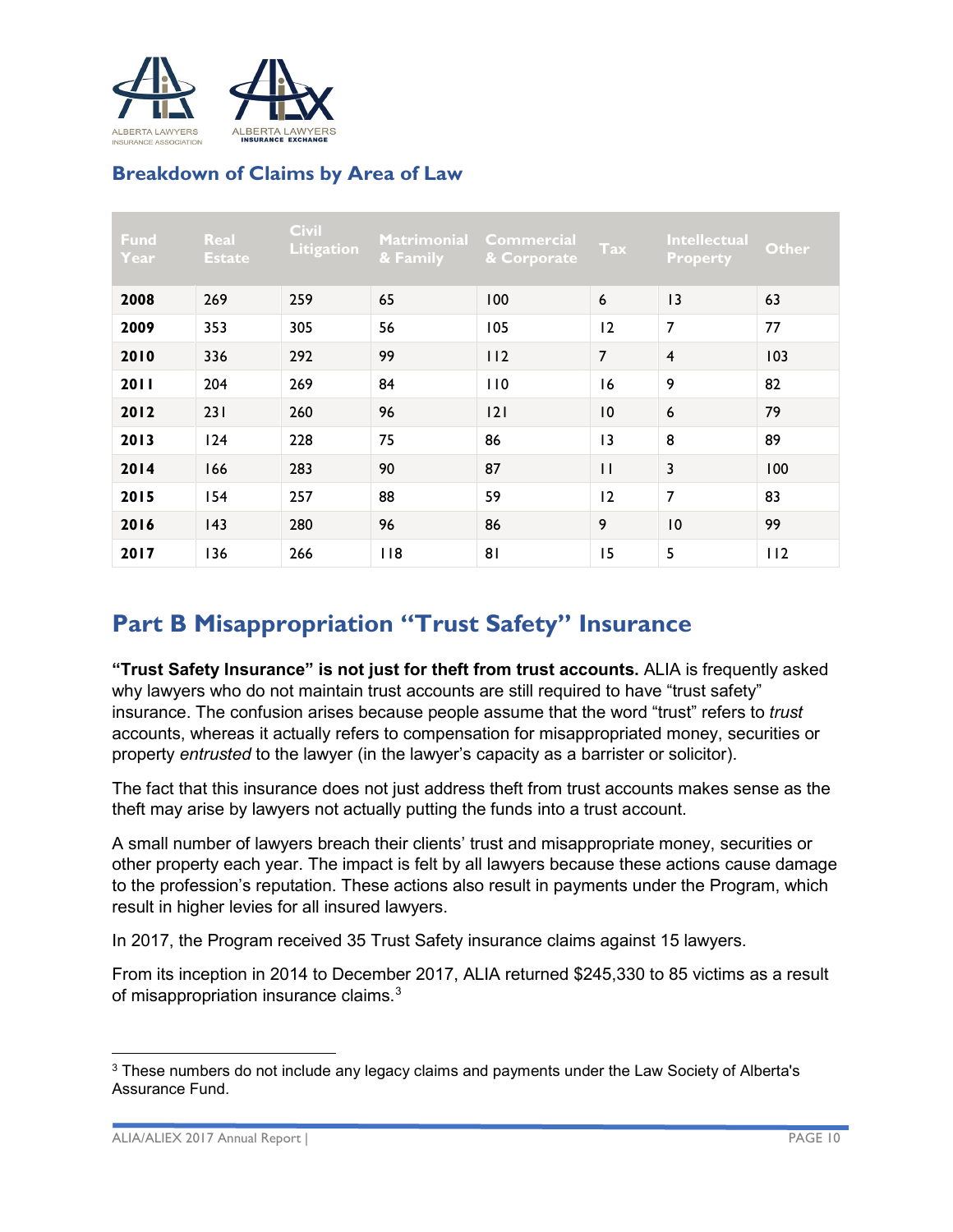

## <span id="page-9-0"></span>**Breakdown of Claims by Area of Law**

| <b>Fund</b><br>Year | Real<br><b>Estate</b> | <b>Civil</b><br><b>Litigation</b> | & Family | Matrimonial Commercial<br>& Corporate | Tax            | Intellectual<br><b>Property</b> | <b>Other</b> |
|---------------------|-----------------------|-----------------------------------|----------|---------------------------------------|----------------|---------------------------------|--------------|
| 2008                | 269                   | 259                               | 65       | 100                                   | 6              | 13                              | 63           |
| 2009                | 353                   | 305                               | 56       | 105                                   | 12             | 7                               | 77           |
| 2010                | 336                   | 292                               | 99       | 112                                   | $\overline{7}$ | $\overline{\mathbf{4}}$         | 103          |
| 2011                | 204                   | 269                               | 84       | 110                                   | 16             | 9                               | 82           |
| 2012                | 231                   | 260                               | 96       | 2                                     | 10             | 6                               | 79           |
| 2013                | 124                   | 228                               | 75       | 86                                    | 3              | 8                               | 89           |
| 2014                | 166                   | 283                               | 90       | 87                                    | $\mathbf{H}$   | 3                               | 100          |
| 2015                | 154                   | 257                               | 88       | 59                                    | 12             | 7                               | 83           |
| 2016                | 143                   | 280                               | 96       | 86                                    | 9              | 10                              | 99           |
| 2017                | 136                   | 266                               | 118      | 8 <sub>1</sub>                        | 15             | 5                               | 112          |

## <span id="page-9-1"></span>**Part B Misappropriation "Trust Safety" Insurance**

**"Trust Safety Insurance" is not just for theft from trust accounts.** ALIA is frequently asked why lawyers who do not maintain trust accounts are still required to have "trust safety" insurance. The confusion arises because people assume that the word "trust" refers to *trust* accounts, whereas it actually refers to compensation for misappropriated money, securities or property *entrusted* to the lawyer (in the lawyer's capacity as a barrister or solicitor).

The fact that this insurance does not just address theft from trust accounts makes sense as the theft may arise by lawyers not actually putting the funds into a trust account.

A small number of lawyers breach their clients' trust and misappropriate money, securities or other property each year. The impact is felt by all lawyers because these actions cause damage to the profession's reputation. These actions also result in payments under the Program, which result in higher levies for all insured lawyers.

In 2017, the Program received 35 Trust Safety insurance claims against 15 lawyers.

From its inception in 2014 to December 2017, ALIA returned \$245,330 to 85 victims as a result of misappropriation insurance claims.<sup>[3](#page-9-2)</sup>

 $\overline{\phantom{a}}$ 

<span id="page-9-2"></span><sup>&</sup>lt;sup>3</sup> These numbers do not include any legacy claims and payments under the Law Society of Alberta's Assurance Fund.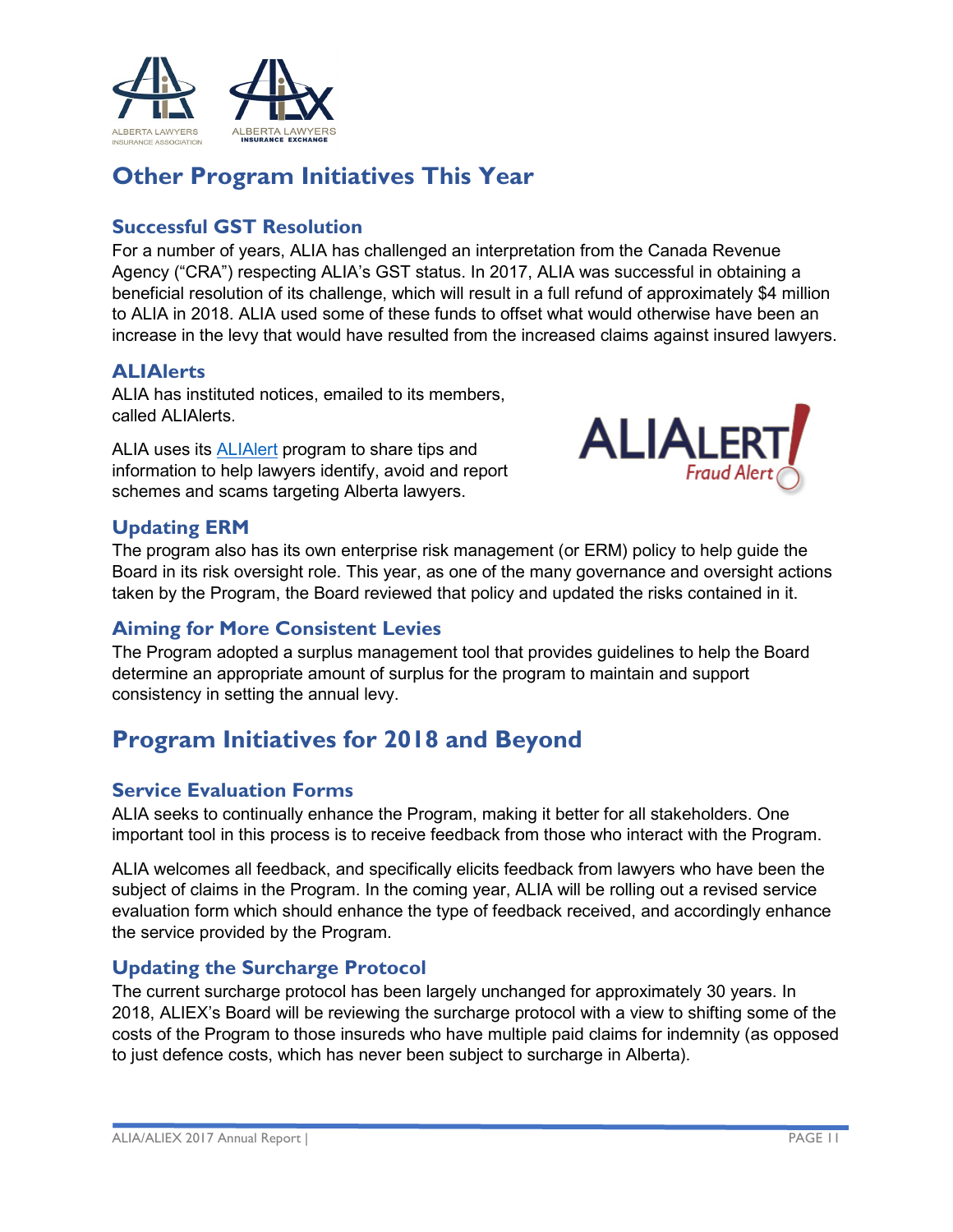

## <span id="page-10-0"></span>**Other Program Initiatives This Year**

#### <span id="page-10-1"></span>**Successful GST Resolution**

For a number of years, ALIA has challenged an interpretation from the Canada Revenue Agency ("CRA") respecting ALIA's GST status. In 2017, ALIA was successful in obtaining a beneficial resolution of its challenge, which will result in a full refund of approximately \$4 million to ALIA in 2018. ALIA used some of these funds to offset what would otherwise have been an increase in the levy that would have resulted from the increased claims against insured lawyers.

#### <span id="page-10-2"></span>**ALIAlerts**

ALIA has instituted notices, emailed to its members, called ALIAlerts.

ALIA uses its [ALIAlert](https://www.lawsociety.ab.ca/lawyers-and-students/fraud-and-loss-prevention/alialerts/) program to share tips and information to help lawyers identify, avoid and report schemes and scams targeting Alberta lawyers.



#### <span id="page-10-3"></span>**Updating ERM**

The program also has its own enterprise risk management (or ERM) policy to help guide the Board in its risk oversight role. This year, as one of the many governance and oversight actions taken by the Program, the Board reviewed that policy and updated the risks contained in it.

## <span id="page-10-4"></span>**Aiming for More Consistent Levies**

The Program adopted a surplus management tool that provides guidelines to help the Board determine an appropriate amount of surplus for the program to maintain and support consistency in setting the annual levy.

## <span id="page-10-5"></span>**Program Initiatives for 2018 and Beyond**

#### <span id="page-10-6"></span>**Service Evaluation Forms**

ALIA seeks to continually enhance the Program, making it better for all stakeholders. One important tool in this process is to receive feedback from those who interact with the Program.

ALIA welcomes all feedback, and specifically elicits feedback from lawyers who have been the subject of claims in the Program. In the coming year, ALIA will be rolling out a revised service evaluation form which should enhance the type of feedback received, and accordingly enhance the service provided by the Program.

#### <span id="page-10-7"></span>**Updating the Surcharge Protocol**

The current surcharge protocol has been largely unchanged for approximately 30 years. In 2018, ALIEX's Board will be reviewing the surcharge protocol with a view to shifting some of the costs of the Program to those insureds who have multiple paid claims for indemnity (as opposed to just defence costs, which has never been subject to surcharge in Alberta).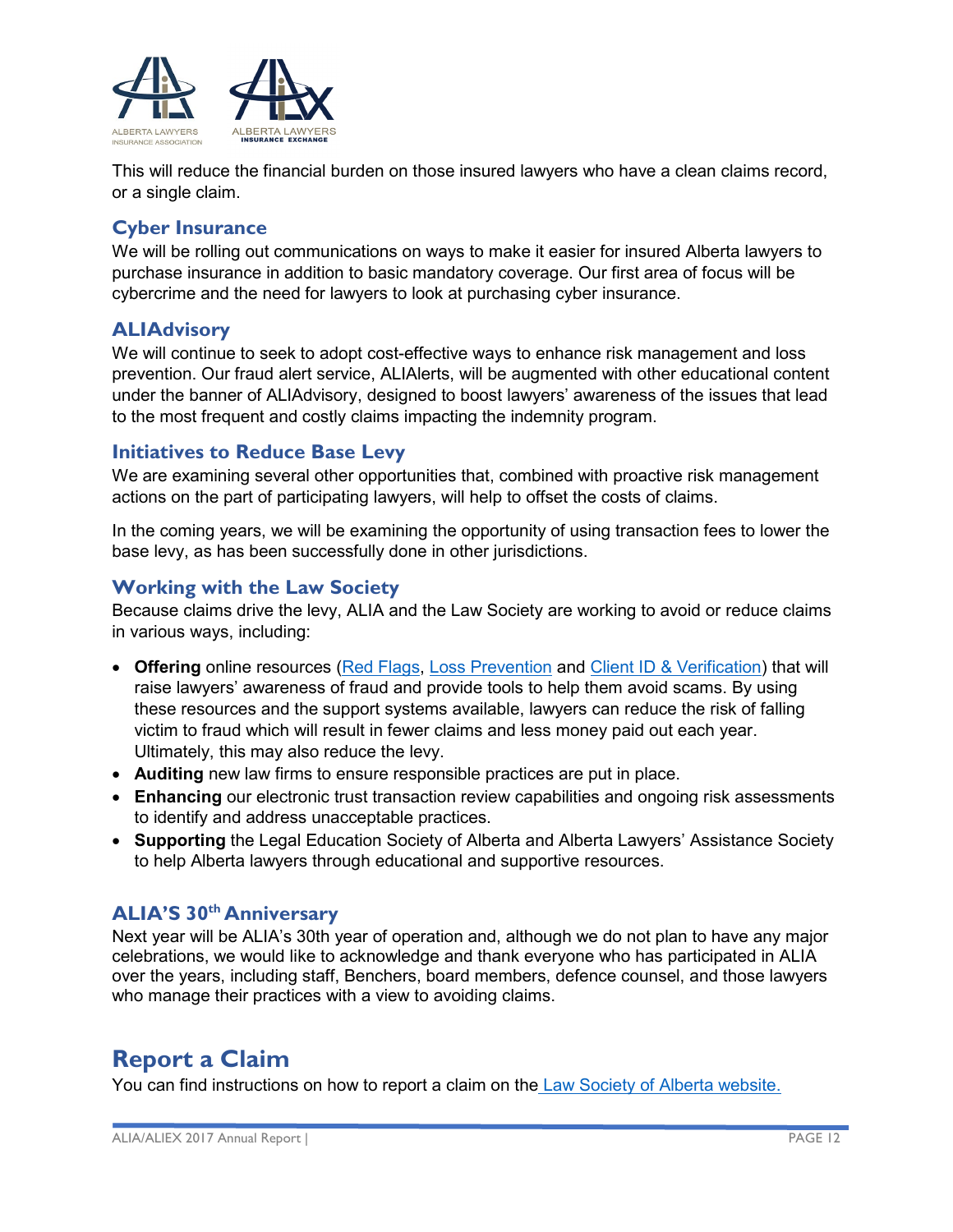

This will reduce the financial burden on those insured lawyers who have a clean claims record, or a single claim.

#### <span id="page-11-0"></span>**Cyber Insurance**

We will be rolling out communications on ways to make it easier for insured Alberta lawyers to purchase insurance in addition to basic mandatory coverage. Our first area of focus will be cybercrime and the need for lawyers to look at purchasing cyber insurance.

#### <span id="page-11-1"></span>**ALIAdvisory**

We will continue to seek to adopt cost-effective ways to enhance risk management and loss prevention. Our fraud alert service, ALIAlerts, will be augmented with other educational content under the banner of ALIAdvisory, designed to boost lawyers' awareness of the issues that lead to the most frequent and costly claims impacting the indemnity program.

#### <span id="page-11-2"></span>**Initiatives to Reduce Base Levy**

We are examining several other opportunities that, combined with proactive risk management actions on the part of participating lawyers, will help to offset the costs of claims.

In the coming years, we will be examining the opportunity of using transaction fees to lower the base levy, as has been successfully done in other jurisdictions.

#### <span id="page-11-3"></span>**Working with the Law Society**

Because claims drive the levy, ALIA and the Law Society are working to avoid or reduce claims in various ways, including:

- Offering online resources [\(Red Flags,](https://www.lawsociety.ab.ca/lawyers-and-students/fraud-and-loss-prevention/red-flags/) [Loss Prevention](https://www.lawsociety.ab.ca/lawyers-and-students/fraud-and-loss-prevention/loss-prevention/) and [Client ID & Verification\)](https://www.lawsociety.ab.ca/lawyers-and-students/fraud-and-loss-prevention/clinet-id-and-verification/) that will raise lawyers' awareness of fraud and provide tools to help them avoid scams. By using these resources and the support systems available, lawyers can reduce the risk of falling victim to fraud which will result in fewer claims and less money paid out each year. Ultimately, this may also reduce the levy.
- **Auditing** new law firms to ensure responsible practices are put in place.
- **Enhancing** our electronic trust transaction review capabilities and ongoing risk assessments to identify and address unacceptable practices.
- **Supporting** the Legal Education Society of Alberta and Alberta Lawyers' Assistance Society to help Alberta lawyers through educational and supportive resources.

#### <span id="page-11-4"></span>**ALIA'S 30th Anniversary**

Next year will be ALIA's 30th year of operation and, although we do not plan to have any major celebrations, we would like to acknowledge and thank everyone who has participated in ALIA over the years, including staff, Benchers, board members, defence counsel, and those lawyers who manage their practices with a view to avoiding claims.

## <span id="page-11-5"></span>**Report a Claim**

You can find instructions on how to report a claim on the [Law Society of Alberta website.](https://www.lawsociety.ab.ca/lawyers-and-students/alberta-lawyers-insurance-association/insurance-claims/)